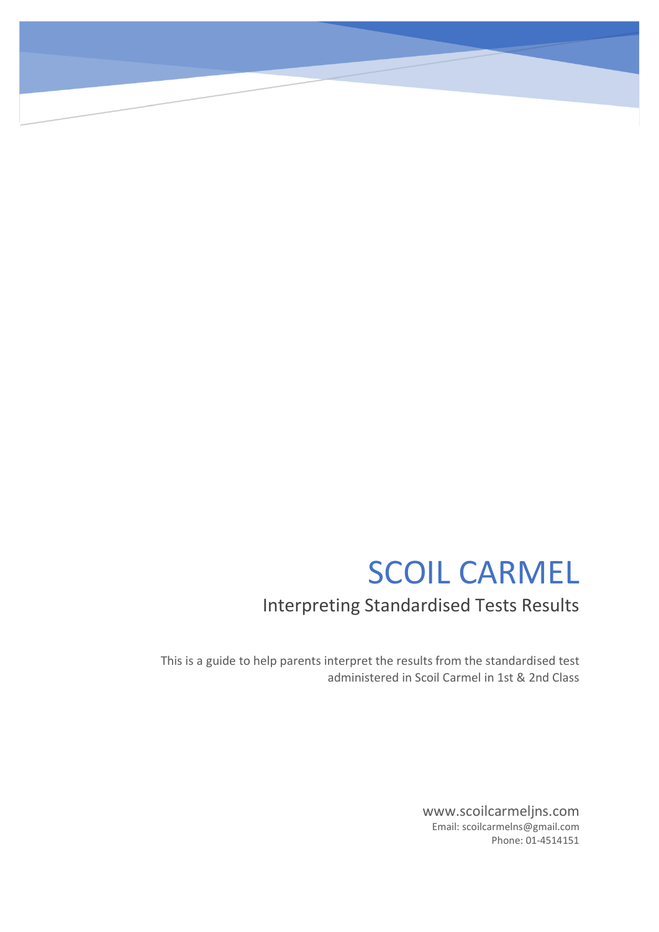# SCOIL CARMEL

# Interpreting Standardised Tests Results

This is a guide to help parents interpret the results from the standardised test administered in Scoil Carmel in 1st & 2nd Class

> www.scoilcarmeljns.com Email: scoilcarmelns@gmail.com Phone: 01-4514151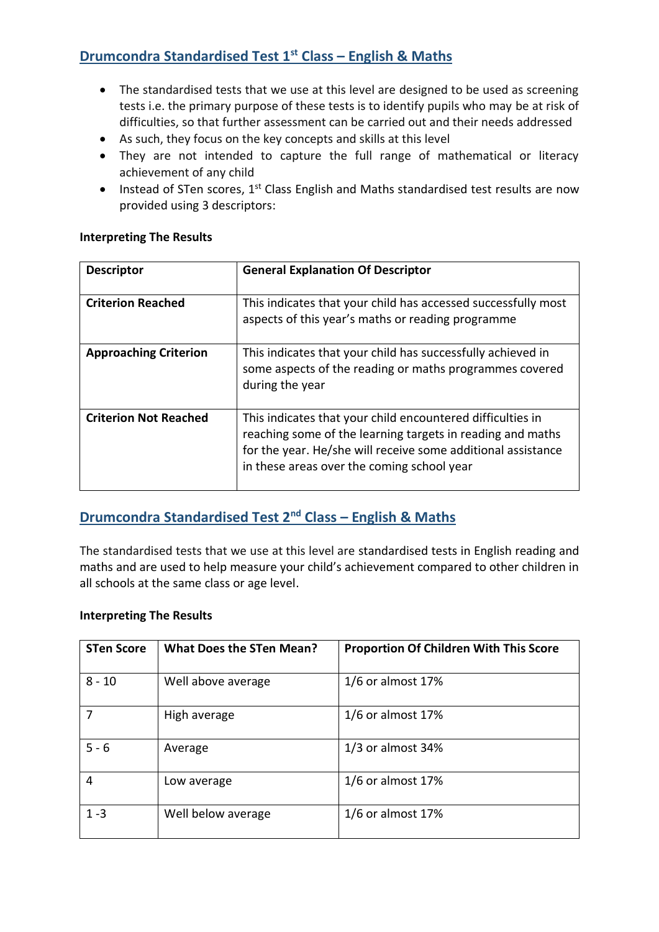### **Drumcondra Standardised Test 1st Class – English & Maths**

- The standardised tests that we use at this level are designed to be used as screening tests i.e. the primary purpose of these tests is to identify pupils who may be at risk of difficulties, so that further assessment can be carried out and their needs addressed
- As such, they focus on the key concepts and skills at this level
- They are not intended to capture the full range of mathematical or literacy achievement of any child
- Instead of STen scores, 1<sup>st</sup> Class English and Maths standardised test results are now provided using 3 descriptors:

#### **Interpreting The Results**

| <b>Descriptor</b>            | <b>General Explanation Of Descriptor</b>                                                                                                                                                                                               |
|------------------------------|----------------------------------------------------------------------------------------------------------------------------------------------------------------------------------------------------------------------------------------|
|                              |                                                                                                                                                                                                                                        |
| <b>Criterion Reached</b>     | This indicates that your child has accessed successfully most<br>aspects of this year's maths or reading programme                                                                                                                     |
| <b>Approaching Criterion</b> | This indicates that your child has successfully achieved in<br>some aspects of the reading or maths programmes covered<br>during the year                                                                                              |
| <b>Criterion Not Reached</b> | This indicates that your child encountered difficulties in<br>reaching some of the learning targets in reading and maths<br>for the year. He/she will receive some additional assistance<br>in these areas over the coming school year |

## **Drumcondra Standardised Test 2nd Class – English & Maths**

The standardised tests that we use at this level are standardised tests in English reading and maths and are used to help measure your child's achievement compared to other children in all schools at the same class or age level.

#### **Interpreting The Results**

| <b>STen Score</b> | <b>What Does the STen Mean?</b> | <b>Proportion Of Children With This Score</b> |
|-------------------|---------------------------------|-----------------------------------------------|
| $8 - 10$          | Well above average              | $1/6$ or almost 17%                           |
| 7                 | High average                    | $1/6$ or almost 17%                           |
| $5 - 6$           | Average                         | $1/3$ or almost 34%                           |
| 4                 | Low average                     | $1/6$ or almost 17%                           |
| $1 - 3$           | Well below average              | $1/6$ or almost 17%                           |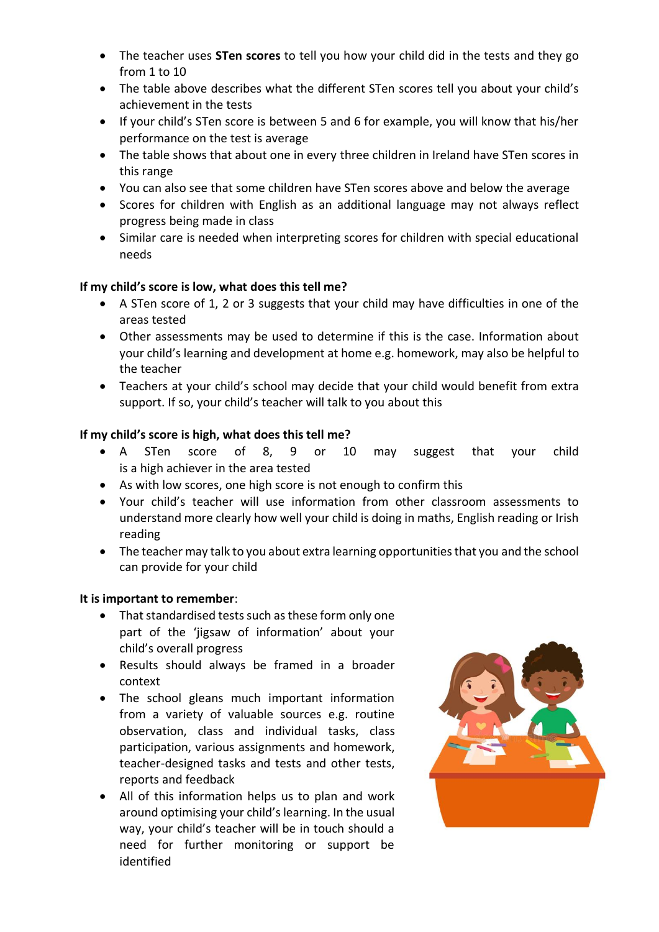- The teacher uses **STen scores** to tell you how your child did in the tests and they go from 1 to 10
- The table above describes what the different STen scores tell you about your child's achievement in the tests
- If your child's STen score is between 5 and 6 for example, you will know that his/her performance on the test is average
- The table shows that about one in every three children in Ireland have STen scores in this range
- You can also see that some children have STen scores above and below the average
- Scores for children with English as an additional language may not always reflect progress being made in class
- Similar care is needed when interpreting scores for children with special educational needs

#### **If my child's score is low, what does this tell me?**

- A STen score of 1, 2 or 3 suggests that your child may have difficulties in one of the areas tested
- Other assessments may be used to determine if this is the case. Information about your child's learning and development at home e.g. homework, may also be helpful to the teacher
- Teachers at your child's school may decide that your child would benefit from extra support. If so, your child's teacher will talk to you about this

#### **If my child's score is high, what does this tell me?**

- A STen score of 8, 9 or 10 may suggest that your child is a high achiever in the area tested
- As with low scores, one high score is not enough to confirm this
- Your child's teacher will use information from other classroom assessments to understand more clearly how well your child is doing in maths, English reading or Irish reading
- The teacher may talk to you about extra learning opportunities that you and the school can provide for your child

#### **It is important to remember**:

- That standardised tests such as these form only one part of the 'jigsaw of information' about your child's overall progress
- Results should always be framed in a broader context
- The school gleans much important information from a variety of valuable sources e.g. routine observation, class and individual tasks, class participation, various assignments and homework, teacher-designed tasks and tests and other tests, reports and feedback
- All of this information helps us to plan and work around optimising your child's learning. In the usual way, your child's teacher will be in touch should a need for further monitoring or support be identified